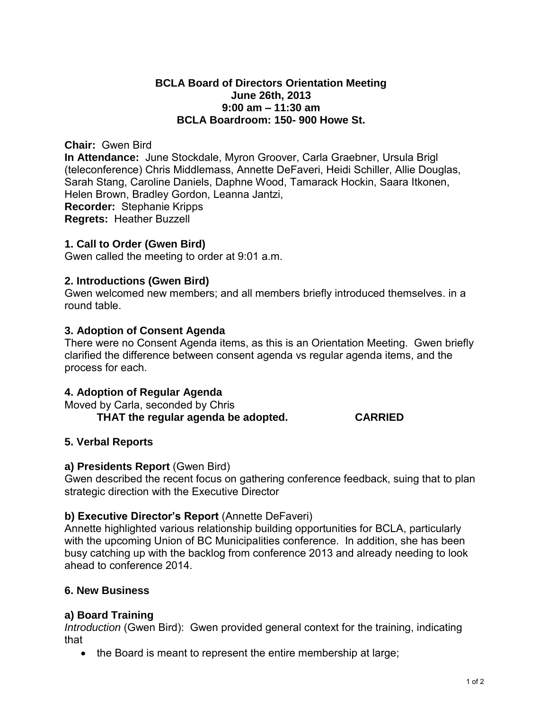## **BCLA Board of Directors Orientation Meeting June 26th, 2013 9:00 am – 11:30 am BCLA Boardroom: 150- 900 Howe St.**

#### **Chair:** Gwen Bird

**In Attendance:** June Stockdale, Myron Groover, Carla Graebner, Ursula Brigl (teleconference) Chris Middlemass, Annette DeFaveri, Heidi Schiller, Allie Douglas, Sarah Stang, Caroline Daniels, Daphne Wood, Tamarack Hockin, Saara Itkonen, Helen Brown, Bradley Gordon, Leanna Jantzi, **Recorder:** Stephanie Kripps **Regrets:** Heather Buzzell

#### **1. Call to Order (Gwen Bird)**

Gwen called the meeting to order at 9:01 a.m.

## **2. Introductions (Gwen Bird)**

Gwen welcomed new members; and all members briefly introduced themselves. in a round table.

#### **3. Adoption of Consent Agenda**

There were no Consent Agenda items, as this is an Orientation Meeting. Gwen briefly clarified the difference between consent agenda vs regular agenda items, and the process for each.

#### **4. Adoption of Regular Agenda**

Moved by Carla, seconded by Chris  **THAT the regular agenda be adopted. CARRIED** 

## **5. Verbal Reports**

#### **a) Presidents Report** (Gwen Bird)

Gwen described the recent focus on gathering conference feedback, suing that to plan strategic direction with the Executive Director

## **b) Executive Director's Report** (Annette DeFaveri)

Annette highlighted various relationship building opportunities for BCLA, particularly with the upcoming Union of BC Municipalities conference. In addition, she has been busy catching up with the backlog from conference 2013 and already needing to look ahead to conference 2014.

## **6. New Business**

## **a) Board Training**

*Introduction* (Gwen Bird): Gwen provided general context for the training, indicating that

• the Board is meant to represent the entire membership at large;